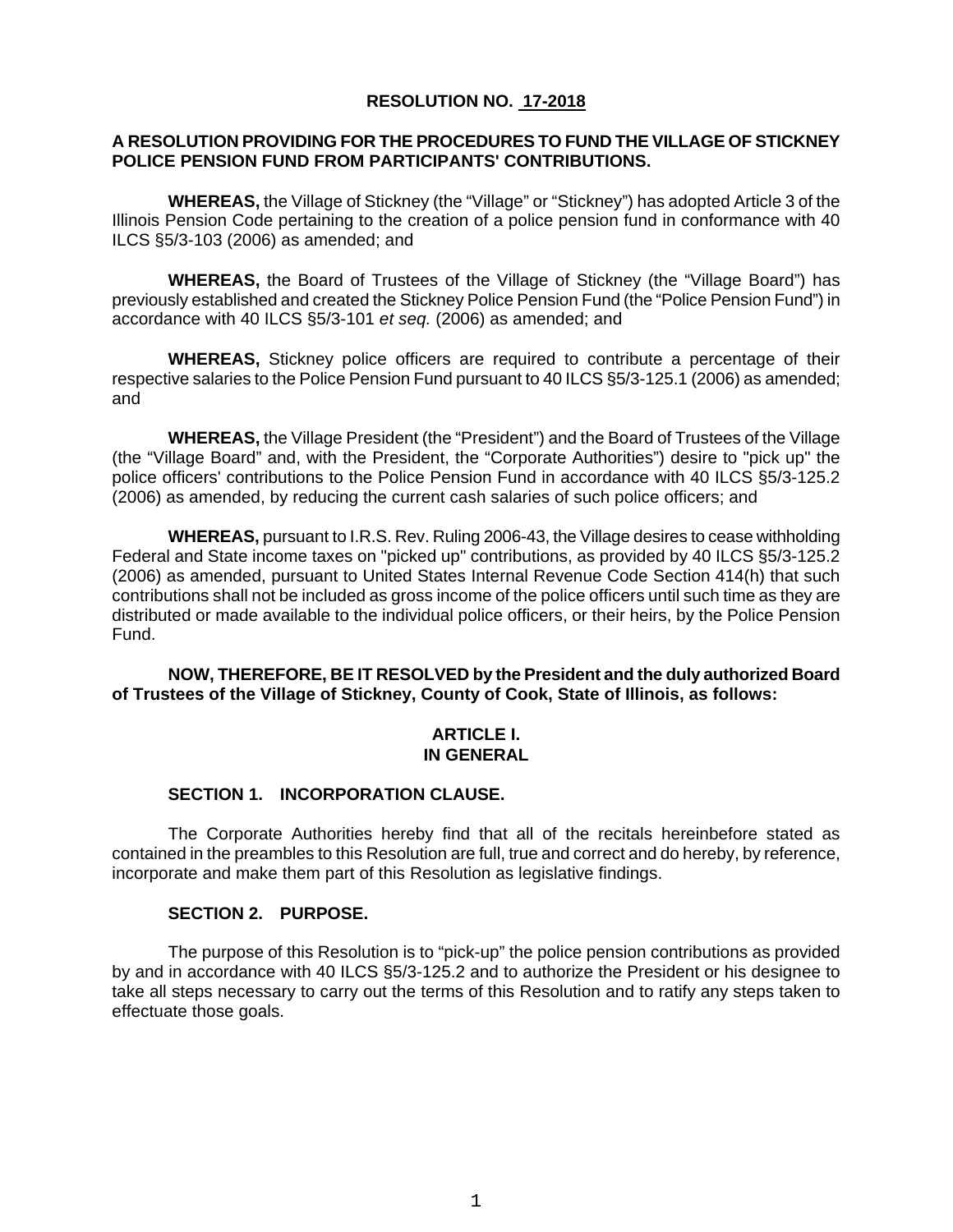### **RESOLUTION NO. 17-2018**

### **A RESOLUTION PROVIDING FOR THE PROCEDURES TO FUND THE VILLAGE OF STICKNEY POLICE PENSION FUND FROM PARTICIPANTS' CONTRIBUTIONS.**

**WHEREAS,** the Village of Stickney (the "Village" or "Stickney") has adopted Article 3 of the Illinois Pension Code pertaining to the creation of a police pension fund in conformance with 40 ILCS §5/3-103 (2006) as amended; and

**WHEREAS,** the Board of Trustees of the Village of Stickney (the "Village Board") has previously established and created the Stickney Police Pension Fund (the "Police Pension Fund") in accordance with 40 ILCS §5/3-101 *et seq.* (2006) as amended; and

**WHEREAS,** Stickney police officers are required to contribute a percentage of their respective salaries to the Police Pension Fund pursuant to 40 ILCS §5/3-125.1 (2006) as amended; and

**WHEREAS,** the Village President (the "President") and the Board of Trustees of the Village (the "Village Board" and, with the President, the "Corporate Authorities") desire to "pick up" the police officers' contributions to the Police Pension Fund in accordance with 40 ILCS §5/3-125.2 (2006) as amended, by reducing the current cash salaries of such police officers; and

**WHEREAS,** pursuant to I.R.S. Rev. Ruling 2006-43, the Village desires to cease withholding Federal and State income taxes on "picked up" contributions, as provided by 40 ILCS §5/3-125.2 (2006) as amended, pursuant to United States Internal Revenue Code Section 414(h) that such contributions shall not be included as gross income of the police officers until such time as they are distributed or made available to the individual police officers, or their heirs, by the Police Pension Fund.

**NOW, THEREFORE, BE IT RESOLVED by the President and the duly authorized Board of Trustees of the Village of Stickney, County of Cook, State of Illinois, as follows:**

### **ARTICLE I. IN GENERAL**

### **SECTION 1. INCORPORATION CLAUSE.**

The Corporate Authorities hereby find that all of the recitals hereinbefore stated as contained in the preambles to this Resolution are full, true and correct and do hereby, by reference, incorporate and make them part of this Resolution as legislative findings.

### **SECTION 2. PURPOSE.**

The purpose of this Resolution is to "pick-up" the police pension contributions as provided by and in accordance with 40 ILCS §5/3-125.2 and to authorize the President or his designee to take all steps necessary to carry out the terms of this Resolution and to ratify any steps taken to effectuate those goals.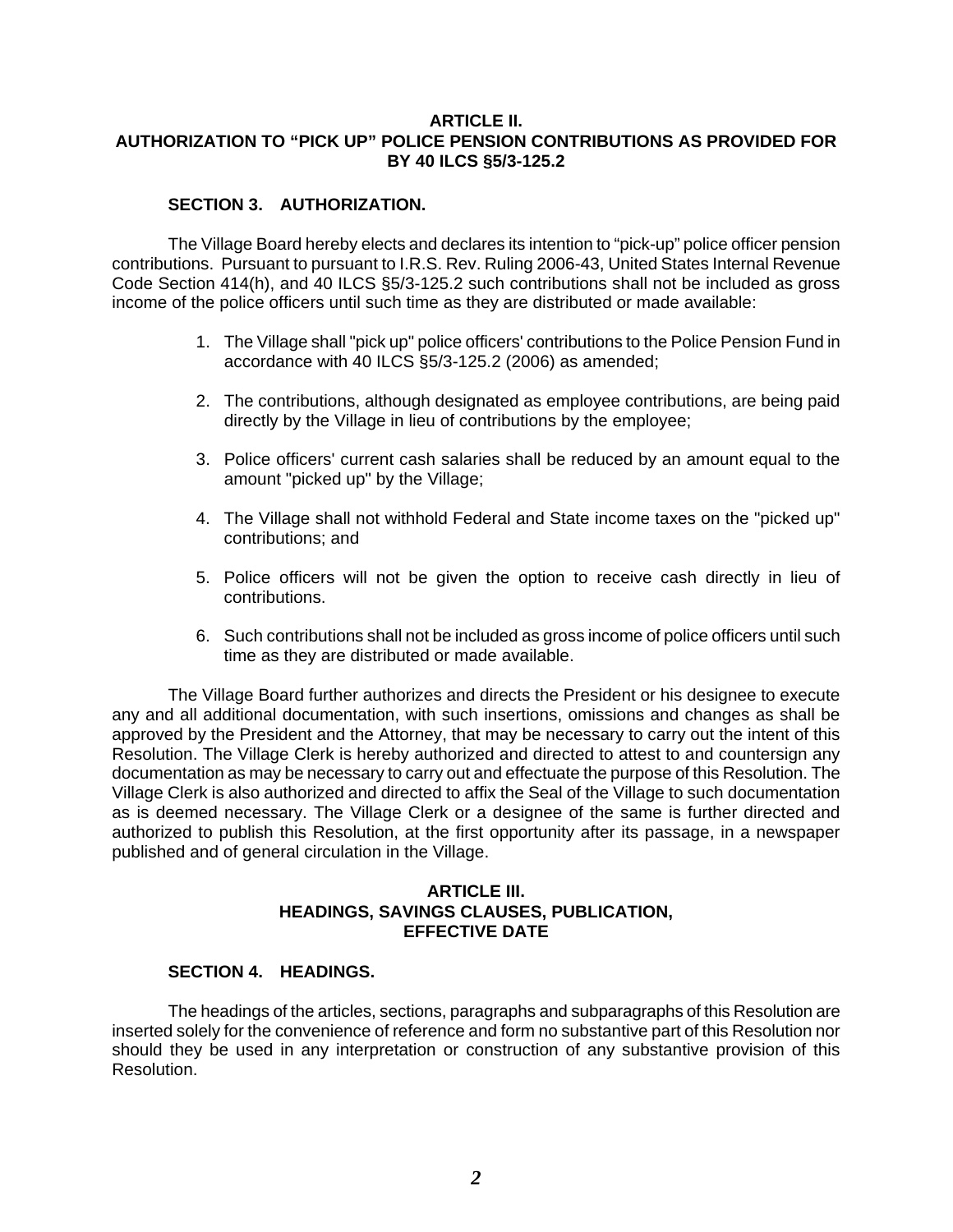### **ARTICLE II. AUTHORIZATION TO "PICK UP" POLICE PENSION CONTRIBUTIONS AS PROVIDED FOR BY 40 ILCS §5/3-125.2**

# **SECTION 3. AUTHORIZATION.**

The Village Board hereby elects and declares its intention to "pick-up" police officer pension contributions. Pursuant to pursuant to I.R.S. Rev. Ruling 2006-43, United States Internal Revenue Code Section 414(h), and 40 ILCS §5/3-125.2 such contributions shall not be included as gross income of the police officers until such time as they are distributed or made available:

- 1. The Village shall "pick up" police officers' contributions to the Police Pension Fund in accordance with 40 ILCS §5/3-125.2 (2006) as amended;
- 2. The contributions, although designated as employee contributions, are being paid directly by the Village in lieu of contributions by the employee;
- 3. Police officers' current cash salaries shall be reduced by an amount equal to the amount "picked up" by the Village;
- 4. The Village shall not withhold Federal and State income taxes on the "picked up" contributions; and
- 5. Police officers will not be given the option to receive cash directly in lieu of contributions.
- 6. Such contributions shall not be included as gross income of police officers until such time as they are distributed or made available.

The Village Board further authorizes and directs the President or his designee to execute any and all additional documentation, with such insertions, omissions and changes as shall be approved by the President and the Attorney, that may be necessary to carry out the intent of this Resolution. The Village Clerk is hereby authorized and directed to attest to and countersign any documentation as may be necessary to carry out and effectuate the purpose of this Resolution. The Village Clerk is also authorized and directed to affix the Seal of the Village to such documentation as is deemed necessary. The Village Clerk or a designee of the same is further directed and authorized to publish this Resolution, at the first opportunity after its passage, in a newspaper published and of general circulation in the Village.

# **ARTICLE III. HEADINGS, SAVINGS CLAUSES, PUBLICATION, EFFECTIVE DATE**

# **SECTION 4. HEADINGS.**

The headings of the articles, sections, paragraphs and subparagraphs of this Resolution are inserted solely for the convenience of reference and form no substantive part of this Resolution nor should they be used in any interpretation or construction of any substantive provision of this Resolution.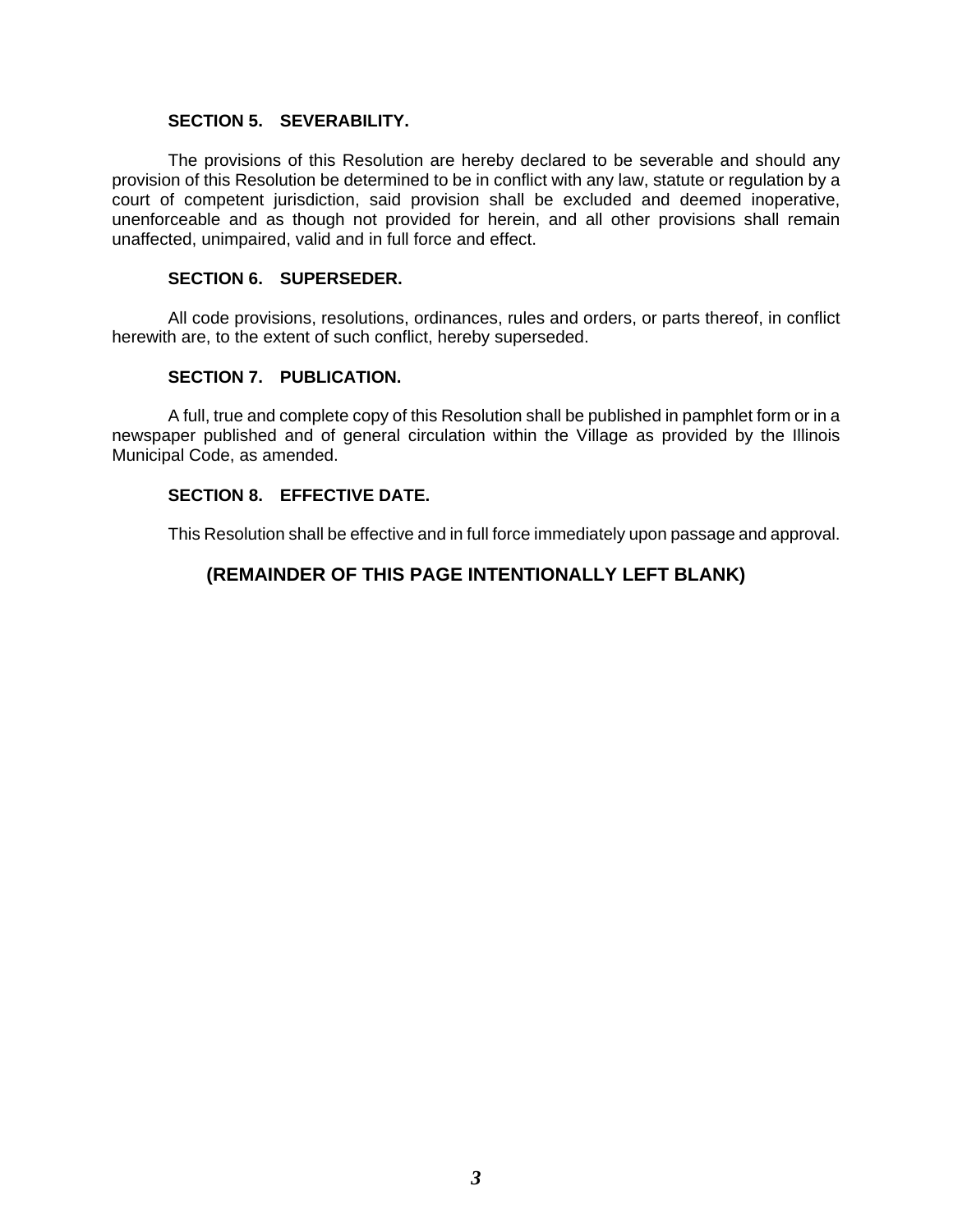### **SECTION 5. SEVERABILITY.**

The provisions of this Resolution are hereby declared to be severable and should any provision of this Resolution be determined to be in conflict with any law, statute or regulation by a court of competent jurisdiction, said provision shall be excluded and deemed inoperative, unenforceable and as though not provided for herein, and all other provisions shall remain unaffected, unimpaired, valid and in full force and effect.

### **SECTION 6. SUPERSEDER.**

All code provisions, resolutions, ordinances, rules and orders, or parts thereof, in conflict herewith are, to the extent of such conflict, hereby superseded.

### **SECTION 7. PUBLICATION.**

A full, true and complete copy of this Resolution shall be published in pamphlet form or in a newspaper published and of general circulation within the Village as provided by the Illinois Municipal Code, as amended.

### **SECTION 8. EFFECTIVE DATE.**

This Resolution shall be effective and in full force immediately upon passage and approval.

# **(REMAINDER OF THIS PAGE INTENTIONALLY LEFT BLANK)**